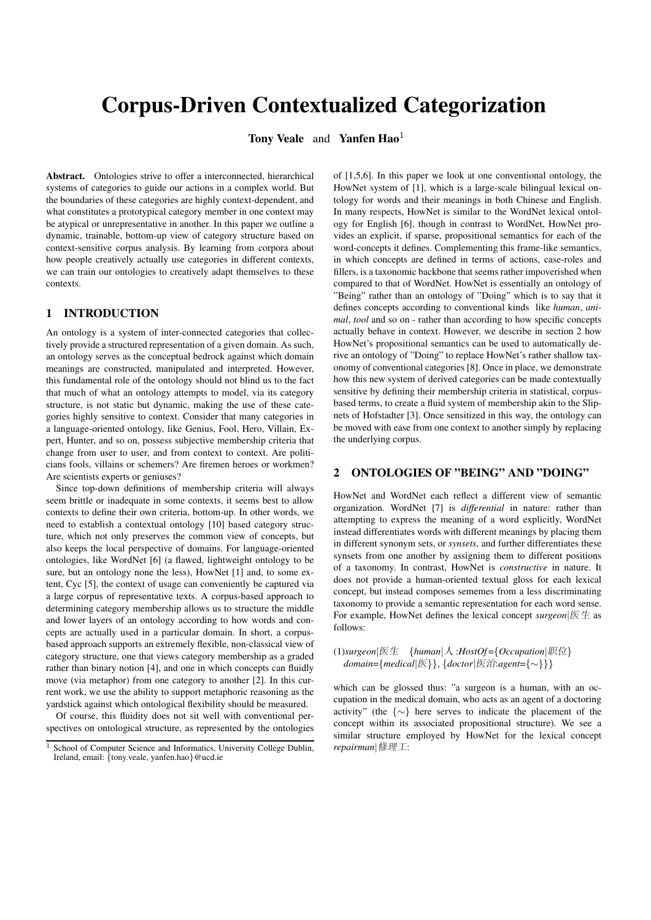# Corpus-Driven Contextualized Categorization

Tony Veale and Yanfen Hao<sup>1</sup>

Abstract. Ontologies strive to offer a interconnected, hierarchical systems of categories to guide our actions in a complex world. But the boundaries of these categories are highly context-dependent, and what constitutes a prototypical category member in one context may be atypical or unrepresentative in another. In this paper we outline a dynamic, trainable, bottom-up view of category structure based on context-sensitive corpus analysis. By learning from corpora about how people creatively actually use categories in different contexts, we can train our ontologies to creatively adapt themselves to these contexts.

#### 1 INTRODUCTION

An ontology is a system of inter-connected categories that collectively provide a structured representation of a given domain. As such, an ontology serves as the conceptual bedrock against which domain meanings are constructed, manipulated and interpreted. However, this fundamental role of the ontology should not blind us to the fact that much of what an ontology attempts to model, via its category structure, is not static but dynamic, making the use of these categories highly sensitive to context. Consider that many categories in a language-oriented ontology, like Genius, Fool, Hero, Villain, Expert, Hunter, and so on, possess subjective membership criteria that change from user to user, and from context to context. Are politicians fools, villains or schemers? Are firemen heroes or workmen? Are scientists experts or geniuses?

Since top-down definitions of membership criteria will always seem brittle or inadequate in some contexts, it seems best to allow contexts to define their own criteria, bottom-up. In other words, we need to establish a contextual ontology [10] based category structure, which not only preserves the common view of concepts, but also keeps the local perspective of domains. For language-oriented ontologies, like WordNet [6] (a flawed, lightweight ontology to be sure, but an ontology none the less), HowNet [1] and, to some extent, Cyc [5], the context of usage can conveniently be captured via a large corpus of representative texts. A corpus-based approach to determining category membership allows us to structure the middle and lower layers of an ontology according to how words and concepts are actually used in a particular domain. In short, a corpusbased approach supports an extremely flexible, non-classical view of category structure, one that views category membership as a graded rather than binary notion [4], and one in which concepts can fluidly move (via metaphor) from one category to another [2]. In this current work, we use the ability to support metaphoric reasoning as the yardstick against which ontological flexibility should be measured.

Of course, this fluidity does not sit well with conventional perspectives on ontological structure, as represented by the ontologies of [1,5,6]. In this paper we look at one conventional ontology, the HowNet system of [1], which is a large-scale bilingual lexical ontology for words and their meanings in both Chinese and English. In many respects, HowNet is similar to the WordNet lexical ontology for English [6], though in contrast to WordNet, HowNet provides an explicit, if sparse, propositional semantics for each of the word-concepts it defines. Complementing this frame-like semantics, in which concepts are defined in terms of actions, case-roles and fillers, is a taxonomic backbone that seems rather impoverished when compared to that of WordNet. HowNet is essentially an ontology of "Being" rather than an ontology of "Doing" which is to say that it defines concepts according to conventional kinds like *human*, *animal*, *tool* and so on - rather than according to how specific concepts actually behave in context. However, we describe in section 2 how HowNet's propositional semantics can be used to automatically derive an ontology of "Doing" to replace HowNet's rather shallow taxonomy of conventional categories [8]. Once in place, we demonstrate how this new system of derived categories can be made contextually sensitive by defining their membership criteria in statistical, corpusbased terms, to create a fluid system of membership akin to the Slipnets of Hofstadter [3]. Once sensitized in this way, the ontology can be moved with ease from one context to another simply by replacing the underlying corpus.

## 2 ONTOLOGIES OF "BEING" AND "DOING"

HowNet and WordNet each reflect a different view of semantic organization. WordNet [7] is *differential* in nature: rather than attempting to express the meaning of a word explicitly, WordNet instead differentiates words with different meanings by placing them in different synonym sets, or *synsets*, and further differentiates these synsets from one another by assigning them to different positions of a taxonomy. In contrast, HowNet is *constructive* in nature. It does not provide a human-oriented textual gloss for each lexical concept, but instead composes sememes from a less discriminating taxonomy to provide a semantic representation for each word sense. For example, HowNet defines the lexical concept *surgeon*|医生 as follows:

(1)*surgeon*|医生 {*human*|人 :*HostOf* ={*Occupation*|职位} *domain*={*medical*|医}}, {*doctor*|医治:*agent*={∼}}}

which can be glossed thus: "a surgeon is a human, with an occupation in the medical domain, who acts as an agent of a doctoring activity" (the {∼} here serves to indicate the placement of the concept within its associated propositional structure). We see a similar structure employed by HowNet for the lexical concept *repairman*|修理工:

<sup>&</sup>lt;sup>1</sup> School of Computer Science and Informatics, University College Dublin, Ireland, email: {tony.veale, yanfen.hao}@ucd.ie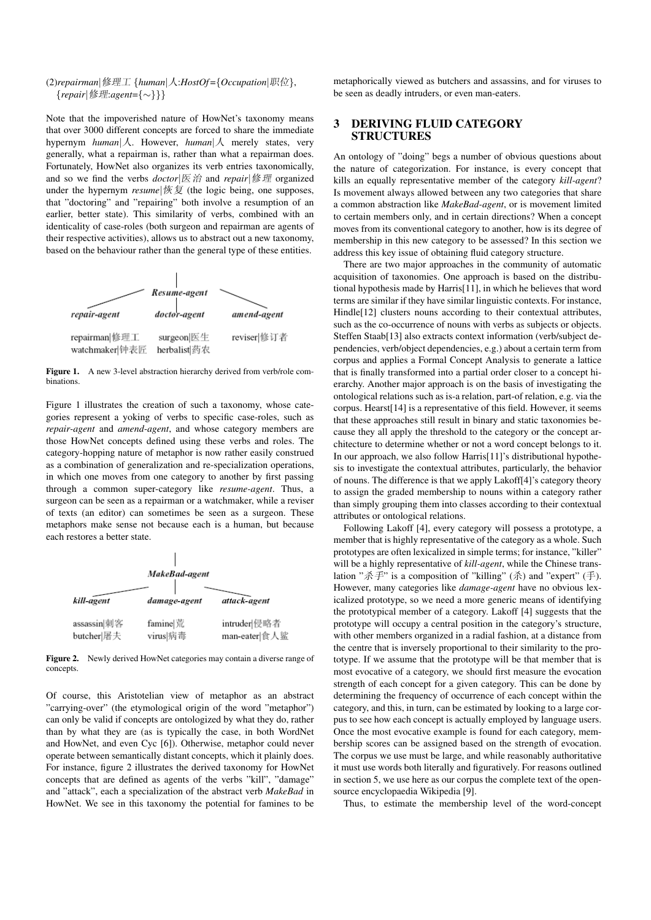#### (2)*repairman*|修理工 {*human*|人:*HostOf* ={*Occupation*|职位}, {*repair*|修理:*agent*={∼}}}

Note that the impoverished nature of HowNet's taxonomy means that over 3000 different concepts are forced to share the immediate hypernym *human*|人. However, *human*|人 merely states, very generally, what a repairman is, rather than what a repairman does. Fortunately, HowNet also organizes its verb entries taxonomically, and so we find the verbs *doctor*|医治 and *repair*|修理 organized under the hypernym *resume*|恢复 (the logic being, one supposes, that "doctoring" and "repairing" both involve a resumption of an earlier, better state). This similarity of verbs, combined with an identicality of case-roles (both surgeon and repairman are agents of their respective activities), allows us to abstract out a new taxonomy, based on the behaviour rather than the general type of these entities.



Figure 1. A new 3-level abstraction hierarchy derived from verb/role combinations.

Figure 1 illustrates the creation of such a taxonomy, whose categories represent a yoking of verbs to specific case-roles, such as *repair-agent* and *amend-agent*, and whose category members are those HowNet concepts defined using these verbs and roles. The category-hopping nature of metaphor is now rather easily construed as a combination of generalization and re-specialization operations, in which one moves from one category to another by first passing through a common super-category like *resume-agent*. Thus, a surgeon can be seen as a repairman or a watchmaker, while a reviser of texts (an editor) can sometimes be seen as a surgeon. These metaphors make sense not because each is a human, but because each restores a better state.

| MakeBad-agent             |                      |                              |
|---------------------------|----------------------|------------------------------|
| kill-agent                | damage-agent         | attack-agent                 |
| assassin 刺客<br>butcher 屠夫 | famine 荒<br>virus 病毒 | intruder 侵略者<br>man-eater 食人 |

 $\overline{1}$ 

Figure 2. Newly derived HowNet categories may contain a diverse range of concepts.

Of course, this Aristotelian view of metaphor as an abstract "carrying-over" (the etymological origin of the word "metaphor") can only be valid if concepts are ontologized by what they do, rather than by what they are (as is typically the case, in both WordNet and HowNet, and even Cyc [6]). Otherwise, metaphor could never operate between semantically distant concepts, which it plainly does. For instance, figure 2 illustrates the derived taxonomy for HowNet concepts that are defined as agents of the verbs "kill", "damage" and "attack", each a specialization of the abstract verb *MakeBad* in HowNet. We see in this taxonomy the potential for famines to be

metaphorically viewed as butchers and assassins, and for viruses to be seen as deadly intruders, or even man-eaters.

#### 3 DERIVING FLUID CATEGORY STRUCTURES

An ontology of "doing" begs a number of obvious questions about the nature of categorization. For instance, is every concept that kills an equally representative member of the category *kill-agent*? Is movement always allowed between any two categories that share a common abstraction like *MakeBad-agent*, or is movement limited to certain members only, and in certain directions? When a concept moves from its conventional category to another, how is its degree of membership in this new category to be assessed? In this section we address this key issue of obtaining fluid category structure.

There are two major approaches in the community of automatic acquisition of taxonomies. One approach is based on the distributional hypothesis made by Harris[11], in which he believes that word terms are similar if they have similar linguistic contexts. For instance, Hindle<sup>[12]</sup> clusters nouns according to their contextual attributes, such as the co-occurrence of nouns with verbs as subjects or objects. Steffen Staab[13] also extracts context information (verb/subject dependencies, verb/object dependencies, e.g.) about a certain term from corpus and applies a Formal Concept Analysis to generate a lattice that is finally transformed into a partial order closer to a concept hierarchy. Another major approach is on the basis of investigating the ontological relations such as is-a relation, part-of relation, e.g. via the corpus. Hearst[14] is a representative of this field. However, it seems that these approaches still result in binary and static taxonomies because they all apply the threshold to the category or the concept architecture to determine whether or not a word concept belongs to it. In our approach, we also follow Harris[11]'s distributional hypothesis to investigate the contextual attributes, particularly, the behavior of nouns. The difference is that we apply Lakoff[4]'s category theory to assign the graded membership to nouns within a category rather than simply grouping them into classes according to their contextual attributes or ontological relations.

Following Lakoff [4], every category will possess a prototype, a member that is highly representative of the category as a whole. Such prototypes are often lexicalized in simple terms; for instance, "killer" will be a highly representative of *kill-agent*, while the Chinese translation "杀手" is a composition of "killing" (杀) and "expert" (手). However, many categories like *damage-agent* have no obvious lexicalized prototype, so we need a more generic means of identifying the prototypical member of a category. Lakoff [4] suggests that the prototype will occupy a central position in the category's structure, with other members organized in a radial fashion, at a distance from the centre that is inversely proportional to their similarity to the prototype. If we assume that the prototype will be that member that is most evocative of a category, we should first measure the evocation strength of each concept for a given category. This can be done by determining the frequency of occurrence of each concept within the category, and this, in turn, can be estimated by looking to a large corpus to see how each concept is actually employed by language users. Once the most evocative example is found for each category, membership scores can be assigned based on the strength of evocation. The corpus we use must be large, and while reasonably authoritative it must use words both literally and figuratively. For reasons outlined in section 5, we use here as our corpus the complete text of the opensource encyclopaedia Wikipedia [9].

Thus, to estimate the membership level of the word-concept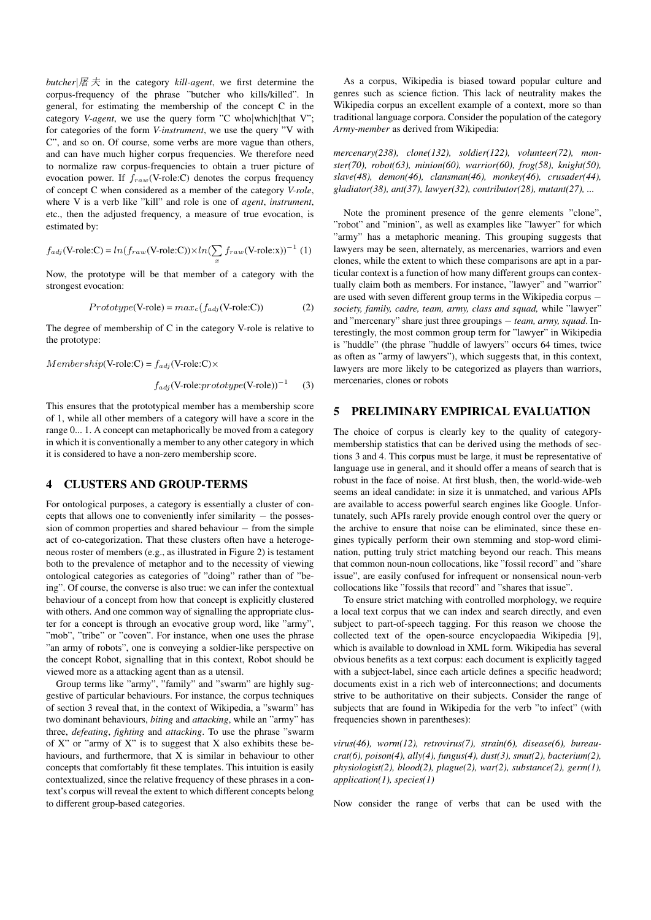*butcher*|屠 夫 in the category *kill-agent*, we first determine the corpus-frequency of the phrase "butcher who kills/killed". In general, for estimating the membership of the concept C in the category *V-agent*, we use the query form "C who|which|that V"; for categories of the form *V-instrument*, we use the query "V with C", and so on. Of course, some verbs are more vague than others, and can have much higher corpus frequencies. We therefore need to normalize raw corpus-frequencies to obtain a truer picture of evocation power. If  $f_{raw}(V\text{-role:C})$  denotes the corpus frequency of concept C when considered as a member of the category *V-role*, where V is a verb like "kill" and role is one of *agent*, *instrument*, etc., then the adjusted frequency, a measure of true evocation, is estimated by:

$$
f_{adj}(\text{V-role:C}) = ln(f_{raw}(\text{V-role:C})) \times ln(\sum_{x} f_{raw}(\text{V-role:x}))^{-1} (1)
$$

Now, the prototype will be that member of a category with the strongest evocation:

$$
Prototype(V\text{-role}) = max_c(f_{adj}(V\text{-role:C}))
$$
 (2)

The degree of membership of C in the category V-role is relative to the prototype:

 $Membership$ (V-role:C) =  $f_{adj}$ (V-role:C) $\times$ 

 $f_{adj}$ (V-role: $prototype$ (V-role))<sup>-1</sup> (3)

This ensures that the prototypical member has a membership score of 1, while all other members of a category will have a score in the range 0... 1. A concept can metaphorically be moved from a category in which it is conventionally a member to any other category in which it is considered to have a non-zero membership score.

#### 4 CLUSTERS AND GROUP-TERMS

For ontological purposes, a category is essentially a cluster of concepts that allows one to conveniently infer similarity − the possession of common properties and shared behaviour − from the simple act of co-categorization. That these clusters often have a heterogeneous roster of members (e.g., as illustrated in Figure 2) is testament both to the prevalence of metaphor and to the necessity of viewing ontological categories as categories of "doing" rather than of "being". Of course, the converse is also true: we can infer the contextual behaviour of a concept from how that concept is explicitly clustered with others. And one common way of signalling the appropriate cluster for a concept is through an evocative group word, like "army", "mob", "tribe" or "coven". For instance, when one uses the phrase "an army of robots", one is conveying a soldier-like perspective on the concept Robot, signalling that in this context, Robot should be viewed more as a attacking agent than as a utensil.

Group terms like "army", "family" and "swarm" are highly suggestive of particular behaviours. For instance, the corpus techniques of section 3 reveal that, in the context of Wikipedia, a "swarm" has two dominant behaviours, *biting* and *attacking*, while an "army" has three, *defeating*, *fighting* and *attacking*. To use the phrase "swarm of  $X$ " or "army of  $X$ " is to suggest that  $X$  also exhibits these behaviours, and furthermore, that X is similar in behaviour to other concepts that comfortably fit these templates. This intuition is easily contextualized, since the relative frequency of these phrases in a context's corpus will reveal the extent to which different concepts belong to different group-based categories.

As a corpus, Wikipedia is biased toward popular culture and genres such as science fiction. This lack of neutrality makes the Wikipedia corpus an excellent example of a context, more so than traditional language corpora. Consider the population of the category *Army-member* as derived from Wikipedia:

*mercenary(238), clone(132), soldier(122), volunteer(72), monster(70), robot(63), minion(60), warrior(60), frog(58), knight(50), slave(48), demon(46), clansman(46), monkey(46), crusader(44), gladiator(38), ant(37), lawyer(32), contributor(28), mutant(27), ...*

Note the prominent presence of the genre elements "clone", "robot" and "minion", as well as examples like "lawyer" for which "army" has a metaphoric meaning. This grouping suggests that lawyers may be seen, alternately, as mercenaries, warriors and even clones, while the extent to which these comparisons are apt in a particular context is a function of how many different groups can contextually claim both as members. For instance, "lawyer" and "warrior" are used with seven different group terms in the Wikipedia corpus − *society, family, cadre, team, army, class and squad,* while "lawyer" and "mercenary" share just three groupings − *team, army, squad*. Interestingly, the most common group term for "lawyer" in Wikipedia is "huddle" (the phrase "huddle of lawyers" occurs 64 times, twice as often as "army of lawyers"), which suggests that, in this context, lawyers are more likely to be categorized as players than warriors, mercenaries, clones or robots

## 5 PRELIMINARY EMPIRICAL EVALUATION

The choice of corpus is clearly key to the quality of categorymembership statistics that can be derived using the methods of sections 3 and 4. This corpus must be large, it must be representative of language use in general, and it should offer a means of search that is robust in the face of noise. At first blush, then, the world-wide-web seems an ideal candidate: in size it is unmatched, and various APIs are available to access powerful search engines like Google. Unfortunately, such APIs rarely provide enough control over the query or the archive to ensure that noise can be eliminated, since these engines typically perform their own stemming and stop-word elimination, putting truly strict matching beyond our reach. This means that common noun-noun collocations, like "fossil record" and "share issue", are easily confused for infrequent or nonsensical noun-verb collocations like "fossils that record" and "shares that issue".

To ensure strict matching with controlled morphology, we require a local text corpus that we can index and search directly, and even subject to part-of-speech tagging. For this reason we choose the collected text of the open-source encyclopaedia Wikipedia [9], which is available to download in XML form. Wikipedia has several obvious benefits as a text corpus: each document is explicitly tagged with a subject-label, since each article defines a specific headword; documents exist in a rich web of interconnections; and documents strive to be authoritative on their subjects. Consider the range of subjects that are found in Wikipedia for the verb "to infect" (with frequencies shown in parentheses):

*virus(46), worm(12), retrovirus(7), strain(6), disease(6), bureaucrat(6), poison(4), ally(4), fungus(4), dust(3), smut(2), bacterium(2), physiologist(2), blood(2), plague(2), war(2), substance(2), germ(1), application(1), species(1)*

Now consider the range of verbs that can be used with the